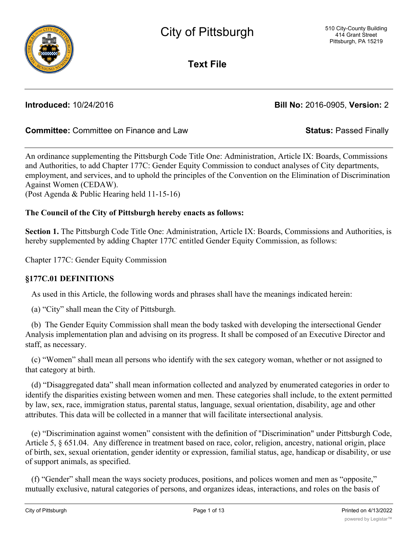

**Text File**

**Introduced:** 10/24/2016 **Bill No:** 2016-0905, **Version:** 2

## **Committee:** Committee on Finance and Law **Status:** Passed Finally

An ordinance supplementing the Pittsburgh Code Title One: Administration, Article IX: Boards, Commissions and Authorities, to add Chapter 177C: Gender Equity Commission to conduct analyses of City departments, employment, and services, and to uphold the principles of the Convention on the Elimination of Discrimination Against Women (CEDAW).

(Post Agenda & Public Hearing held 11-15-16)

### **The Council of the City of Pittsburgh hereby enacts as follows:**

**Section 1.** The Pittsburgh Code Title One: Administration, Article IX: Boards, Commissions and Authorities, is hereby supplemented by adding Chapter 177C entitled Gender Equity Commission, as follows:

Chapter 177C: Gender Equity Commission

### **§177C.01 DEFINITIONS**

As used in this Article, the following words and phrases shall have the meanings indicated herein:

(a) "City" shall mean the City of Pittsburgh.

 (b) The Gender Equity Commission shall mean the body tasked with developing the intersectional Gender Analysis implementation plan and advising on its progress. It shall be composed of an Executive Director and staff, as necessary.

 (c) "Women" shall mean all persons who identify with the sex category woman, whether or not assigned to that category at birth.

 (d) "Disaggregated data" shall mean information collected and analyzed by enumerated categories in order to identify the disparities existing between women and men. These categories shall include, to the extent permitted by law, sex, race, immigration status, parental status, language, sexual orientation, disability, age and other attributes. This data will be collected in a manner that will facilitate intersectional analysis.

 (e) "Discrimination against women" consistent with the definition of "Discrimination" under Pittsburgh Code, Article 5, § 651.04. Any difference in treatment based on race, color, religion, ancestry, national origin, place of birth, sex, sexual orientation, gender identity or expression, familial status, age, handicap or disability, or use of support animals, as specified.

 (f) "Gender" shall mean the ways society produces, positions, and polices women and men as "opposite," mutually exclusive, natural categories of persons, and organizes ideas, interactions, and roles on the basis of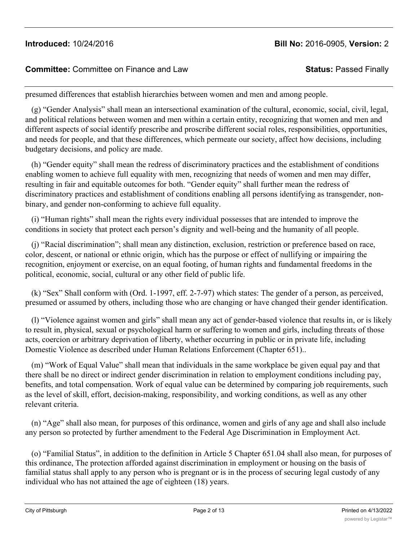### **Committee:** Committee on Finance and Law **Status:** Passed Finally

presumed differences that establish hierarchies between women and men and among people.

 (g) "Gender Analysis" shall mean an intersectional examination of the cultural, economic, social, civil, legal, and political relations between women and men within a certain entity, recognizing that women and men and different aspects of social identify prescribe and proscribe different social roles, responsibilities, opportunities, and needs for people, and that these differences, which permeate our society, affect how decisions, including budgetary decisions, and policy are made.

 (h) "Gender equity" shall mean the redress of discriminatory practices and the establishment of conditions enabling women to achieve full equality with men, recognizing that needs of women and men may differ, resulting in fair and equitable outcomes for both. "Gender equity" shall further mean the redress of discriminatory practices and establishment of conditions enabling all persons identifying as transgender, nonbinary, and gender non-conforming to achieve full equality.

 (i) "Human rights" shall mean the rights every individual possesses that are intended to improve the conditions in society that protect each person's dignity and well-being and the humanity of all people.

 (j) "Racial discrimination"; shall mean any distinction, exclusion, restriction or preference based on race, color, descent, or national or ethnic origin, which has the purpose or effect of nullifying or impairing the recognition, enjoyment or exercise, on an equal footing, of human rights and fundamental freedoms in the political, economic, social, cultural or any other field of public life.

 (k) "Sex" Shall conform with (Ord. 1-1997, eff. 2-7-97) which states: The gender of a person, as perceived, presumed or assumed by others, including those who are changing or have changed their gender identification.

 (l) "Violence against women and girls" shall mean any act of gender-based violence that results in, or is likely to result in, physical, sexual or psychological harm or suffering to women and girls, including threats of those acts, coercion or arbitrary deprivation of liberty, whether occurring in public or in private life, including Domestic Violence as described under Human Relations Enforcement (Chapter 651)..

 (m) "Work of Equal Value" shall mean that individuals in the same workplace be given equal pay and that there shall be no direct or indirect gender discrimination in relation to employment conditions including pay, benefits, and total compensation. Work of equal value can be determined by comparing job requirements, such as the level of skill, effort, decision-making, responsibility, and working conditions, as well as any other relevant criteria.

 (n) "Age" shall also mean, for purposes of this ordinance, women and girls of any age and shall also include any person so protected by further amendment to the Federal Age Discrimination in Employment Act.

 (o) "Familial Status", in addition to the definition in Article 5 Chapter 651.04 shall also mean, for purposes of this ordinance, The protection afforded against discrimination in employment or housing on the basis of familial status shall apply to any person who is pregnant or is in the process of securing legal custody of any individual who has not attained the age of eighteen (18) years.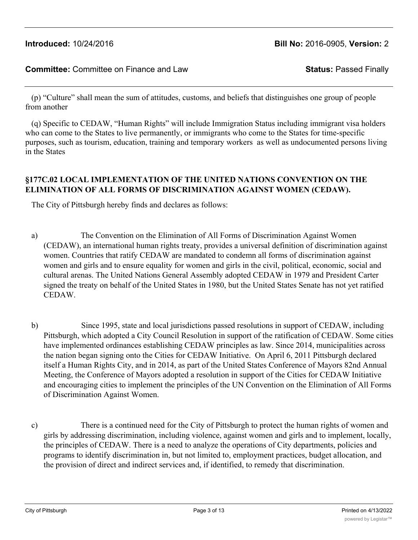(p) "Culture" shall mean the sum of attitudes, customs, and beliefs that distinguishes one group of people from another

 (q) Specific to CEDAW, "Human Rights" will include Immigration Status including immigrant visa holders who can come to the States to live permanently, or immigrants who come to the States for time-specific purposes, such as tourism, education, training and temporary workers as well as undocumented persons living in the States

## **§177C.02 LOCAL IMPLEMENTATION OF THE UNITED NATIONS CONVENTION ON THE ELIMINATION OF ALL FORMS OF DISCRIMINATION AGAINST WOMEN (CEDAW).**

The City of Pittsburgh hereby finds and declares as follows:

- a) The Convention on the Elimination of All Forms of Discrimination Against Women (CEDAW), an international human rights treaty, provides a universal definition of discrimination against women. Countries that ratify CEDAW are mandated to condemn all forms of discrimination against women and girls and to ensure equality for women and girls in the civil, political, economic, social and cultural arenas. The United Nations General Assembly adopted CEDAW in 1979 and President Carter signed the treaty on behalf of the United States in 1980, but the United States Senate has not yet ratified CEDAW.
- b) Since 1995, state and local jurisdictions passed resolutions in support of CEDAW, including Pittsburgh, which adopted a City Council Resolution in support of the ratification of CEDAW. Some cities have implemented ordinances establishing CEDAW principles as law. Since 2014, municipalities across the nation began signing onto the Cities for CEDAW Initiative. On April 6, 2011 Pittsburgh declared itself a Human Rights City, and in 2014, as part of the United States Conference of Mayors 82nd Annual Meeting, the Conference of Mayors adopted a resolution in support of the Cities for CEDAW Initiative and encouraging cities to implement the principles of the UN Convention on the Elimination of All Forms of Discrimination Against Women.
- c) There is a continued need for the City of Pittsburgh to protect the human rights of women and girls by addressing discrimination, including violence, against women and girls and to implement, locally, the principles of CEDAW. There is a need to analyze the operations of City departments, policies and programs to identify discrimination in, but not limited to, employment practices, budget allocation, and the provision of direct and indirect services and, if identified, to remedy that discrimination.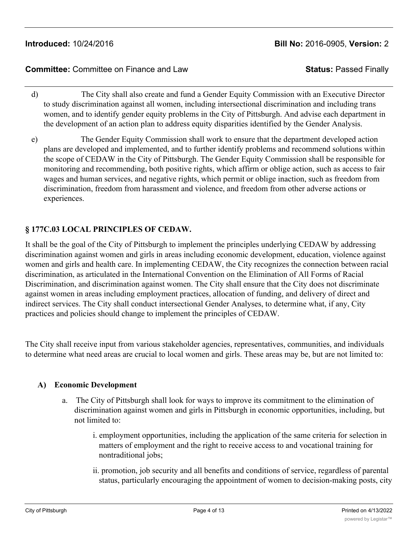- d) The City shall also create and fund a Gender Equity Commission with an Executive Director to study discrimination against all women, including intersectional discrimination and including trans women, and to identify gender equity problems in the City of Pittsburgh. And advise each department in the development of an action plan to address equity disparities identified by the Gender Analysis.
- e) The Gender Equity Commission shall work to ensure that the department developed action plans are developed and implemented, and to further identify problems and recommend solutions within the scope of CEDAW in the City of Pittsburgh. The Gender Equity Commission shall be responsible for monitoring and recommending, both positive rights, which affirm or oblige action, such as access to fair wages and human services, and negative rights, which permit or oblige inaction, such as freedom from discrimination, freedom from harassment and violence, and freedom from other adverse actions or experiences.

# **§ 177C.03 LOCAL PRINCIPLES OF CEDAW.**

It shall be the goal of the City of Pittsburgh to implement the principles underlying CEDAW by addressing discrimination against women and girls in areas including economic development, education, violence against women and girls and health care. In implementing CEDAW, the City recognizes the connection between racial discrimination, as articulated in the International Convention on the Elimination of All Forms of Racial Discrimination, and discrimination against women. The City shall ensure that the City does not discriminate against women in areas including employment practices, allocation of funding, and delivery of direct and indirect services. The City shall conduct intersectional Gender Analyses, to determine what, if any, City practices and policies should change to implement the principles of CEDAW.

The City shall receive input from various stakeholder agencies, representatives, communities, and individuals to determine what need areas are crucial to local women and girls. These areas may be, but are not limited to:

### **A) Economic Development**

- a. The City of Pittsburgh shall look for ways to improve its commitment to the elimination of discrimination against women and girls in Pittsburgh in economic opportunities, including, but not limited to:
	- i. employment opportunities, including the application of the same criteria for selection in matters of employment and the right to receive access to and vocational training for nontraditional jobs;
	- ii. promotion, job security and all benefits and conditions of service, regardless of parental status, particularly encouraging the appointment of women to decision-making posts, city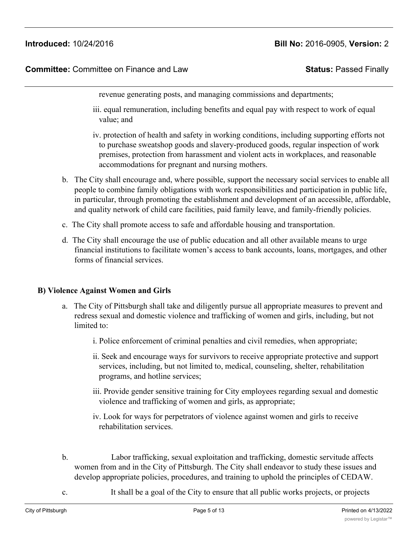**Committee:** Committee on Finance and Law **Status:** Passed Finally

revenue generating posts, and managing commissions and departments;

- iii. equal remuneration, including benefits and equal pay with respect to work of equal value; and
- iv. protection of health and safety in working conditions, including supporting efforts not to purchase sweatshop goods and slavery-produced goods, regular inspection of work premises, protection from harassment and violent acts in workplaces, and reasonable accommodations for pregnant and nursing mothers.
- b. The City shall encourage and, where possible, support the necessary social services to enable all people to combine family obligations with work responsibilities and participation in public life, in particular, through promoting the establishment and development of an accessible, affordable, and quality network of child care facilities, paid family leave, and family-friendly policies.
- c. The City shall promote access to safe and affordable housing and transportation.
- d. The City shall encourage the use of public education and all other available means to urge financial institutions to facilitate women's access to bank accounts, loans, mortgages, and other forms of financial services.

#### **B) Violence Against Women and Girls**

- a. The City of Pittsburgh shall take and diligently pursue all appropriate measures to prevent and redress sexual and domestic violence and trafficking of women and girls, including, but not limited to:
	- i. Police enforcement of criminal penalties and civil remedies, when appropriate;
	- ii. Seek and encourage ways for survivors to receive appropriate protective and support services, including, but not limited to, medical, counseling, shelter, rehabilitation programs, and hotline services;
	- iii. Provide gender sensitive training for City employees regarding sexual and domestic violence and trafficking of women and girls, as appropriate;
	- iv. Look for ways for perpetrators of violence against women and girls to receive rehabilitation services.
- b. Labor trafficking, sexual exploitation and trafficking, domestic servitude affects women from and in the City of Pittsburgh. The City shall endeavor to study these issues and develop appropriate policies, procedures, and training to uphold the principles of CEDAW.
- c. It shall be a goal of the City to ensure that all public works projects, or projects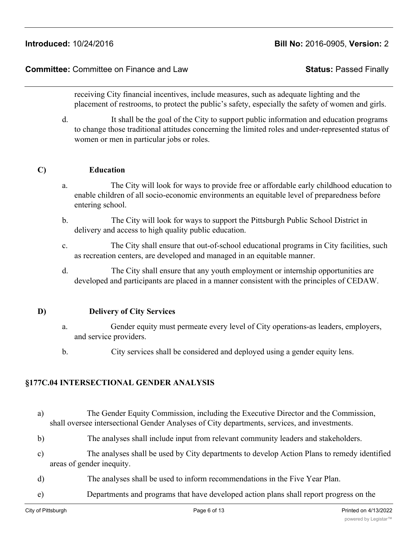#### **Committee:** Committee on Finance and Law **Status:** Passed Finally

receiving City financial incentives, include measures, such as adequate lighting and the placement of restrooms, to protect the public's safety, especially the safety of women and girls.

d. It shall be the goal of the City to support public information and education programs to change those traditional attitudes concerning the limited roles and under-represented status of women or men in particular jobs or roles.

#### **C) Education**

- a. The City will look for ways to provide free or affordable early childhood education to enable children of all socio-economic environments an equitable level of preparedness before entering school.
- b. The City will look for ways to support the Pittsburgh Public School District in delivery and access to high quality public education.
- c. The City shall ensure that out-of-school educational programs in City facilities, such as recreation centers, are developed and managed in an equitable manner.
- d. The City shall ensure that any youth employment or internship opportunities are developed and participants are placed in a manner consistent with the principles of CEDAW.

#### **D) Delivery of City Services**

- a. Gender equity must permeate every level of City operations-as leaders, employers, and service providers.
- b. City services shall be considered and deployed using a gender equity lens.

### **§177C.04 INTERSECTIONAL GENDER ANALYSIS**

- a) The Gender Equity Commission, including the Executive Director and the Commission, shall oversee intersectional Gender Analyses of City departments, services, and investments.
- b) The analyses shall include input from relevant community leaders and stakeholders.
- c) The analyses shall be used by City departments to develop Action Plans to remedy identified areas of gender inequity.
- d) The analyses shall be used to inform recommendations in the Five Year Plan.
- e) Departments and programs that have developed action plans shall report progress on the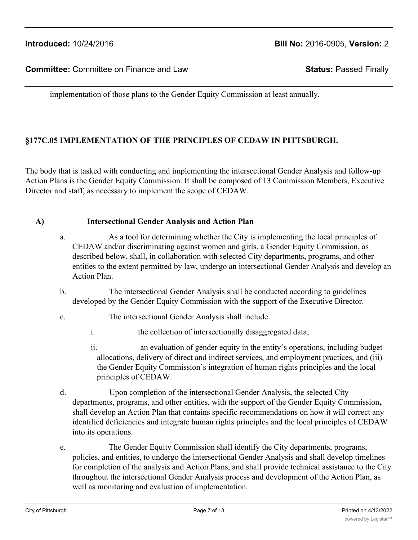implementation of those plans to the Gender Equity Commission at least annually.

### **§177C.05 IMPLEMENTATION OF THE PRINCIPLES OF CEDAW IN PITTSBURGH.**

The body that is tasked with conducting and implementing the intersectional Gender Analysis and follow-up Action Plans is the Gender Equity Commission. It shall be composed of 13 Commission Members, Executive Director and staff, as necessary to implement the scope of CEDAW.

#### **A) Intersectional Gender Analysis and Action Plan**

- a. As a tool for determining whether the City is implementing the local principles of CEDAW and/or discriminating against women and girls, a Gender Equity Commission, as described below, shall, in collaboration with selected City departments, programs, and other entities to the extent permitted by law, undergo an intersectional Gender Analysis and develop an Action Plan.
- b. The intersectional Gender Analysis shall be conducted according to guidelines developed by the Gender Equity Commission with the support of the Executive Director.
- c. The intersectional Gender Analysis shall include:
	- i. the collection of intersectionally disaggregated data;
	- ii. an evaluation of gender equity in the entity's operations, including budget allocations, delivery of direct and indirect services, and employment practices, and (iii) the Gender Equity Commission's integration of human rights principles and the local principles of CEDAW.
- d. Upon completion of the intersectional Gender Analysis, the selected City departments, programs, and other entities, with the support of the Gender Equity Commission**,** shall develop an Action Plan that contains specific recommendations on how it will correct any identified deficiencies and integrate human rights principles and the local principles of CEDAW into its operations.
- e. The Gender Equity Commission shall identify the City departments, programs, policies, and entities, to undergo the intersectional Gender Analysis and shall develop timelines for completion of the analysis and Action Plans, and shall provide technical assistance to the City throughout the intersectional Gender Analysis process and development of the Action Plan, as well as monitoring and evaluation of implementation.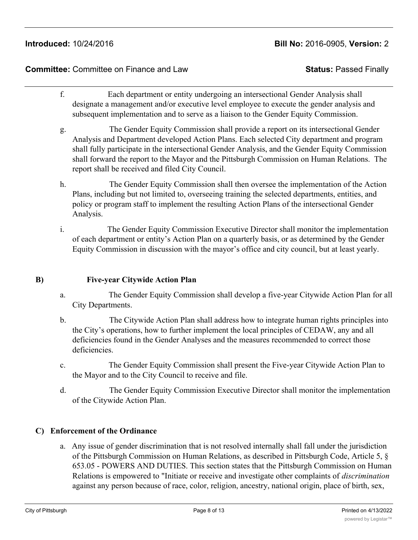### **Committee:** Committee on Finance and Law **Status:** Passed Finally

- f. Each department or entity undergoing an intersectional Gender Analysis shall designate a management and/or executive level employee to execute the gender analysis and subsequent implementation and to serve as a liaison to the Gender Equity Commission.
- g. The Gender Equity Commission shall provide a report on its intersectional Gender Analysis and Department developed Action Plans. Each selected City department and program shall fully participate in the intersectional Gender Analysis, and the Gender Equity Commission shall forward the report to the Mayor and the Pittsburgh Commission on Human Relations. The report shall be received and filed City Council.
- h. The Gender Equity Commission shall then oversee the implementation of the Action Plans, including but not limited to, overseeing training the selected departments, entities, and policy or program staff to implement the resulting Action Plans of the intersectional Gender Analysis.
- i. The Gender Equity Commission Executive Director shall monitor the implementation of each department or entity's Action Plan on a quarterly basis, or as determined by the Gender Equity Commission in discussion with the mayor's office and city council, but at least yearly.

#### **B) Five-year Citywide Action Plan**

- a. The Gender Equity Commission shall develop a five-year Citywide Action Plan for all City Departments.
- b. The Citywide Action Plan shall address how to integrate human rights principles into the City's operations, how to further implement the local principles of CEDAW, any and all deficiencies found in the Gender Analyses and the measures recommended to correct those deficiencies.
- c. The Gender Equity Commission shall present the Five-year Citywide Action Plan to the Mayor and to the City Council to receive and file.
- d. The Gender Equity Commission Executive Director shall monitor the implementation of the Citywide Action Plan.

### **C) Enforcement of the Ordinance**

a. Any issue of gender discrimination that is not resolved internally shall fall under the jurisdiction of the Pittsburgh Commission on Human Relations, as described in Pittsburgh Code, Article 5, § 653.05 - POWERS AND DUTIES. This section states that the Pittsburgh Commission on Human Relations is empowered to "Initiate or receive and investigate other complaints of *discrimination* against any person because of race, color, religion, ancestry, national origin, place of birth, sex,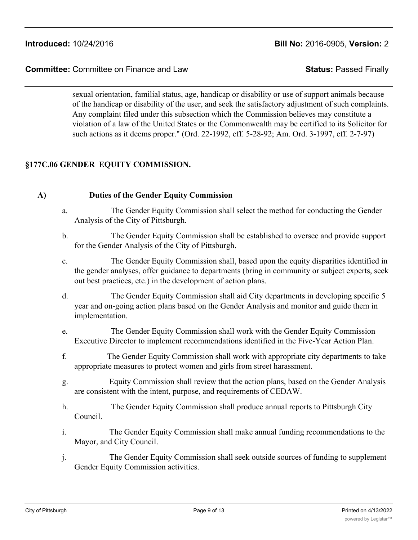sexual orientation, familial status, age, handicap or disability or use of support animals because of the handicap or disability of the user, and seek the satisfactory adjustment of such complaints. Any complaint filed under this subsection which the Commission believes may constitute a violation of a law of the United States or the Commonwealth may be certified to its Solicitor for such actions as it deems proper." (Ord. 22-1992, eff. 5-28-92; Am. Ord. 3-1997, eff. 2-7-97)

# **§177C.06 GENDER EQUITY COMMISSION.**

### **A) Duties of the Gender Equity Commission**

- a. The Gender Equity Commission shall select the method for conducting the Gender Analysis of the City of Pittsburgh.
- b. The Gender Equity Commission shall be established to oversee and provide support for the Gender Analysis of the City of Pittsburgh.
- c. The Gender Equity Commission shall, based upon the equity disparities identified in the gender analyses, offer guidance to departments (bring in community or subject experts, seek out best practices, etc.) in the development of action plans.
- d. The Gender Equity Commission shall aid City departments in developing specific 5 year and on-going action plans based on the Gender Analysis and monitor and guide them in implementation.
- e. The Gender Equity Commission shall work with the Gender Equity Commission Executive Director to implement recommendations identified in the Five-Year Action Plan.
- f. The Gender Equity Commission shall work with appropriate city departments to take appropriate measures to protect women and girls from street harassment.
- g. Equity Commission shall review that the action plans, based on the Gender Analysis are consistent with the intent, purpose, and requirements of CEDAW.
- h. The Gender Equity Commission shall produce annual reports to Pittsburgh City Council.
- i. The Gender Equity Commission shall make annual funding recommendations to the Mayor, and City Council.
- j. The Gender Equity Commission shall seek outside sources of funding to supplement Gender Equity Commission activities.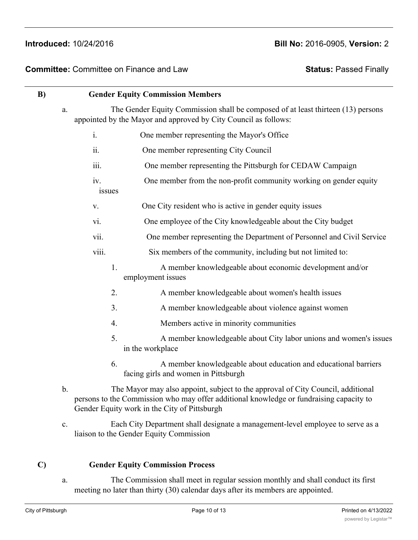| B) | <b>Gender Equity Commission Members</b><br>The Gender Equity Commission shall be composed of at least thirteen (13) persons<br>a.<br>appointed by the Mayor and approved by City Council as follows: |                                                                                                                                                                                                                            |
|----|------------------------------------------------------------------------------------------------------------------------------------------------------------------------------------------------------|----------------------------------------------------------------------------------------------------------------------------------------------------------------------------------------------------------------------------|
|    |                                                                                                                                                                                                      |                                                                                                                                                                                                                            |
|    | $\mathbf{i}$ .                                                                                                                                                                                       | One member representing the Mayor's Office                                                                                                                                                                                 |
|    | ii.                                                                                                                                                                                                  | One member representing City Council                                                                                                                                                                                       |
|    | 111.                                                                                                                                                                                                 | One member representing the Pittsburgh for CEDAW Campaign                                                                                                                                                                  |
|    | iv.<br>issues                                                                                                                                                                                        | One member from the non-profit community working on gender equity                                                                                                                                                          |
|    | $\mathbf{V}$ .                                                                                                                                                                                       | One City resident who is active in gender equity issues                                                                                                                                                                    |
|    | vi.                                                                                                                                                                                                  | One employee of the City knowledgeable about the City budget                                                                                                                                                               |
|    | vii.                                                                                                                                                                                                 | One member representing the Department of Personnel and Civil Service                                                                                                                                                      |
|    | viii.                                                                                                                                                                                                | Six members of the community, including but not limited to:                                                                                                                                                                |
|    | 1.                                                                                                                                                                                                   | A member knowledgeable about economic development and/or<br>employment issues                                                                                                                                              |
|    | 2.                                                                                                                                                                                                   | A member knowledgeable about women's health issues                                                                                                                                                                         |
|    | 3.                                                                                                                                                                                                   | A member knowledgeable about violence against women                                                                                                                                                                        |
|    | 4.                                                                                                                                                                                                   | Members active in minority communities                                                                                                                                                                                     |
|    | 5.                                                                                                                                                                                                   | A member knowledgeable about City labor unions and women's issues<br>in the workplace                                                                                                                                      |
|    | 6.                                                                                                                                                                                                   | A member knowledgeable about education and educational barriers<br>facing girls and women in Pittsburgh                                                                                                                    |
|    | $b$ .                                                                                                                                                                                                | The Mayor may also appoint, subject to the approval of City Council, additional<br>persons to the Commission who may offer additional knowledge or fundraising capacity to<br>Gender Equity work in the City of Pittsburgh |

c. Each City Department shall designate a management-level employee to serve as a liaison to the Gender Equity Commission

### **C) Gender Equity Commission Process**

a. The Commission shall meet in regular session monthly and shall conduct its first meeting no later than thirty (30) calendar days after its members are appointed.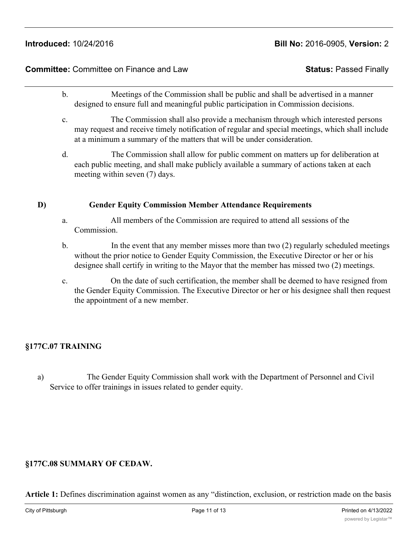# **Committee:** Committee on Finance and Law **Status:** Passed Finally

- b. Meetings of the Commission shall be public and shall be advertised in a manner designed to ensure full and meaningful public participation in Commission decisions.
- c. The Commission shall also provide a mechanism through which interested persons may request and receive timely notification of regular and special meetings, which shall include at a minimum a summary of the matters that will be under consideration.
- d. The Commission shall allow for public comment on matters up for deliberation at each public meeting, and shall make publicly available a summary of actions taken at each meeting within seven (7) days.

# **D) Gender Equity Commission Member Attendance Requirements**

- a. All members of the Commission are required to attend all sessions of the Commission.
- b. In the event that any member misses more than two (2) regularly scheduled meetings without the prior notice to Gender Equity Commission, the Executive Director or her or his designee shall certify in writing to the Mayor that the member has missed two (2) meetings.
- c. On the date of such certification, the member shall be deemed to have resigned from the Gender Equity Commission. The Executive Director or her or his designee shall then request the appointment of a new member.

# **§177C.07 TRAINING**

a) The Gender Equity Commission shall work with the Department of Personnel and Civil Service to offer trainings in issues related to gender equity.

# **§177C.08 SUMMARY OF CEDAW.**

**Article 1:** Defines discrimination against women as any "distinction, exclusion, or restriction made on the basis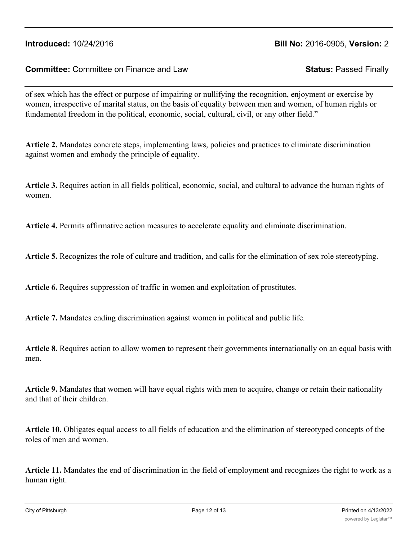### **Committee:** Committee on Finance and Law **Status:** Passed Finally

of sex which has the effect or purpose of impairing or nullifying the recognition, enjoyment or exercise by women, irrespective of marital status, on the basis of equality between men and women, of human rights or fundamental freedom in the political, economic, social, cultural, civil, or any other field."

**Article 2.** Mandates concrete steps, implementing laws, policies and practices to eliminate discrimination against women and embody the principle of equality.

**Article 3.** Requires action in all fields political, economic, social, and cultural to advance the human rights of women.

**Article 4.** Permits affirmative action measures to accelerate equality and eliminate discrimination.

**Article 5.** Recognizes the role of culture and tradition, and calls for the elimination of sex role stereotyping.

**Article 6.** Requires suppression of traffic in women and exploitation of prostitutes.

**Article 7.** Mandates ending discrimination against women in political and public life.

**Article 8.** Requires action to allow women to represent their governments internationally on an equal basis with men.

**Article 9.** Mandates that women will have equal rights with men to acquire, change or retain their nationality and that of their children.

**Article 10.** Obligates equal access to all fields of education and the elimination of stereotyped concepts of the roles of men and women.

**Article 11.** Mandates the end of discrimination in the field of employment and recognizes the right to work as a human right.